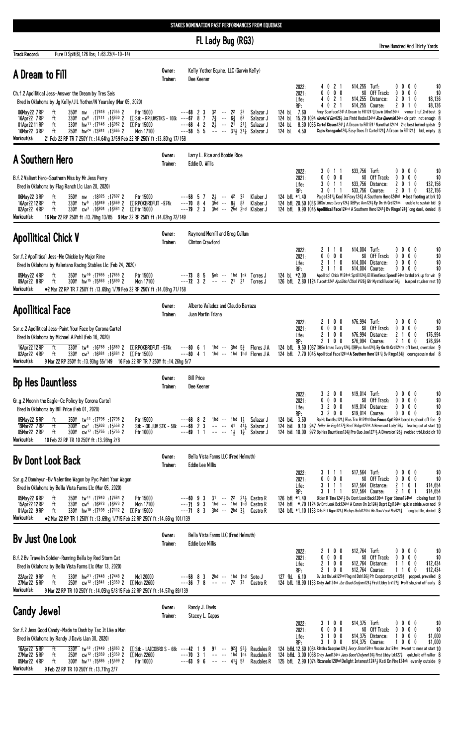|                                                                                                                                                                                                                                                                                                                                                                                                                                                                                                                                                       |                    | FL Lady Bug (RG3)                                                                                                                                                                                                                    | Three Hundred And Thirty Yards                                                                                                                                                                                                                                                                                                                                                                                                                                                                                                                                                                                                                                                                                        |
|-------------------------------------------------------------------------------------------------------------------------------------------------------------------------------------------------------------------------------------------------------------------------------------------------------------------------------------------------------------------------------------------------------------------------------------------------------------------------------------------------------------------------------------------------------|--------------------|--------------------------------------------------------------------------------------------------------------------------------------------------------------------------------------------------------------------------------------|-----------------------------------------------------------------------------------------------------------------------------------------------------------------------------------------------------------------------------------------------------------------------------------------------------------------------------------------------------------------------------------------------------------------------------------------------------------------------------------------------------------------------------------------------------------------------------------------------------------------------------------------------------------------------------------------------------------------------|
| <b>Track Record:</b><br>Pure D Spit(6), 126 lbs; 1:63.23(4-10-14)<br>A Dream to Fill                                                                                                                                                                                                                                                                                                                                                                                                                                                                  | Owner:<br>Trainer: | Kelly Yother Equine, LLC (Garvin Kelly)<br>Dee Keener                                                                                                                                                                                |                                                                                                                                                                                                                                                                                                                                                                                                                                                                                                                                                                                                                                                                                                                       |
| Ch.f.2 Apollitical Jess-Answer the Dream by Tres Seis<br>Bred in Oklahoma by Jg Kelly/JL Yother/N Yearsley (Mar 05, 2020)<br>350Y nw :17818 :17355 2<br>Ftr 15000<br>06May22 7RP<br>ft<br>$S$ Stk - RPJUVSTKS - 100k --- 67 8 7<br>16Apr22 7RP<br>330Y cw <sup>8</sup> :17111 :16830 2<br>ft<br>01Apr22 11 RP<br>330Y hw <sup>11</sup> :17146 :16962 2<br>S Ftr 15000<br>ft<br>250Y hw <sup>24</sup> :13841 :13665 2<br>16Mar22 3 RP<br>Mdn 17100<br>ft<br>Workout(s):<br>21 Feb 22 RP TR 7 250Y ft : 14.64hg 3/59 Feb 22 RP 250Y ft : 13.80hg 17/158 |                    | $3^2$ -- $2^2$<br>$---68$ 2 3<br>23<br>Salazar J<br>$7\frac{3}{4}$ -- $6\frac{3}{4}$ 62<br>Salazar J<br>$- -68$ 4 2 $2\frac{1}{2}$ -- $2\frac{1}{1}$ 211<br>--58 5 5 -- -- $31\frac{1}{2}$ 31 <sup>1</sup><br>Salazar J<br>Salazar J | 4 0 2 1<br>\$14,255 Turf:<br>2022:<br>$0\ 0\ 0\ 0$<br>\$0<br>\$0 Off Track:<br>\$0<br>$0\ 0\ 0\ 0$<br>$0\ 0\ 0$<br>2021:<br>0<br>$0$ 2 1<br>$$14.255$ Distance:<br>4<br>$\mathbf{2}$<br>0 1 0<br>\$8,136<br>Life:<br>021<br>\$14,255 Course:<br>\$8,136<br>RP:<br>2010<br>Fncy Scarface1243 A Dream to Fil112413 Lovin Lithe124nk winner 2 tuf, 2nd best 9<br>124 bL 7.60<br>124 bl 15.20 1094 Hookd N Gon1263 Jss Pintd Hocks124hd Rce Queenie124ns clr path, not enough 8<br>8.30 1035 Cartel Kisses12411 A Dream to Fill1241 Nunothat124hd 2nd best behind spdstr 9<br>124 bL<br>124 bL<br><b>Capis Renegade</b> 1243 Easy Does It Cartel 124 $\frac{3}{4}$ A Dream to Fill 124 $\frac{1}{2}$ bid, empty 8<br>4.50 |
| A Southern Hero                                                                                                                                                                                                                                                                                                                                                                                                                                                                                                                                       | Owner:<br>Trainer: | Larry L. Rice and Bobbie Rice<br>Eddie D. Willis                                                                                                                                                                                     |                                                                                                                                                                                                                                                                                                                                                                                                                                                                                                                                                                                                                                                                                                                       |
| B.f.2 Valiant Hero-Southern Miss by Mr Jess Perry<br>Bred in Oklahoma by Flag Ranch Llc (Jan 20, 2020)<br>350Y nw :18025 :17697 2<br>Ftr 15000<br>06May22 3 RP<br>ft<br>330Y tw <sup>8</sup> :16949 :16669 2<br>SRPOKBRDFUT-974k<br>16Apr22 12 RP<br>ft<br>330Y cw <sup>3</sup> :16904 :16881 2<br>S Ftr 15000<br>02Apr22 4RP<br>ft<br>Workout(s):<br>16 Mar 22 RP 250Y ft: 13.78hg 13/85 9 Mar 22 RP 250Y ft: 14.02hg 72/149                                                                                                                         |                    | $2\frac{1}{2}$ -- 42 32<br>$---58$ 5 7<br>---70 8 4<br>Klaiber J<br>$3\bar{h}d$ -- $8\frac{1}{2}$ 82<br>Klaiber J<br>$---79$ 2 3 $3$ hd $---2$ hd $2$ hd Klaiber J                                                                   | $$33,756$ Turf:<br>3 0 1 1<br>$0\quad 0$<br>$0\quad 0$<br>\$0<br>2022:<br>$0\ 0\ 0\ 0$<br>\$0 Off Track:<br>$0\quad 0$<br>\$0<br>2021:<br>0<br>0<br>\$33,756 Distance:<br>3011<br>$\mathbf{2}$<br>0<br>10<br>\$32,156<br>Life:<br>\$32,156<br>30<br>\$33,756 Course:<br>RP:<br>11<br>20<br>10<br>Paige12411 Kool N Foxy1243 A Southern Hero124hd ▶lost footing at brk 10<br>124 bfL *1.40<br>124 bfl 20.50 1036 EMSn Lmzo Ivory1243 EMPyc Avn1243 Ey On th Crd124ns unable to sustain bid 9<br>124 bfl. 9.90 1045 Apollitical Face124hd A Southern Hero1241 $\frac{3}{2}$ Bv Ringo124 $\frac{3}{2}$ long duel, denied 8                                                                                               |
| <b>Apollitical Chick V</b>                                                                                                                                                                                                                                                                                                                                                                                                                                                                                                                            | Owner:<br>Trainer: | Raymond Merrill and Greg Cullum<br><b>Clinton Crawford</b>                                                                                                                                                                           |                                                                                                                                                                                                                                                                                                                                                                                                                                                                                                                                                                                                                                                                                                                       |
| Sor.f.2 Apollitical Jess-Me Chickie by Major Rime<br>Bred in Oklahoma by Valeriano Racing Stables Llc (Feb 24, 2020)<br>350Y tw <sup>16</sup> :17655:176552<br>05May22 4RP<br>Ftr 15000<br>ft<br>300Y hw <sup>15</sup> :15863 :15690 2<br>Mdn 17100<br>09Apr22 8RP<br>ft<br>Workout(s):<br>●2 Mar 22 RP TR 7 250Y ft : 13.65hg 1/79 Feb 22 RP 250Y ft : 14.08hg 71/158                                                                                                                                                                                |                    | $---73$ 8 5 $5nk$ $--$ 1hd 1nk Torres J<br>$---72$ 3 2 -- -- 21 21<br>Torres J                                                                                                                                                       | $$14,004$ Turf:<br>$0\ 0\ 0\ 0$<br>2022:<br>2110<br>\$0<br>$0\ 0\ 0$<br>\$0 Off Track:<br>$0\quad 0$<br>\$0<br>2021:<br>0<br>$\mathbf{0}$<br>2 1 1 0<br>$0\quad 0$<br>\$14,004 Distance:<br>0<br>0<br>\$0<br>Life:<br>$0\quad 0$<br>\$0<br>RP:<br>2110<br>\$14,004 Course:<br>$0\quad 0$<br>124 bl *2.00<br>Apollitic1 Chick V124nk Sptil11243 E1 R1entless Speed124ns brshd brk, up for win 9<br>126 bfl. 2.80 1124 Turcott1241 Apolliticl Chick V1263 Gfr Mysticlillusion1243 bumped st, clear rest 10                                                                                                                                                                                                              |
| <b>Apollitical Face</b>                                                                                                                                                                                                                                                                                                                                                                                                                                                                                                                               | Owner:<br>Trainer: | Alberto Valadez and Claudio Barraza<br>Juan Martin Triana                                                                                                                                                                            |                                                                                                                                                                                                                                                                                                                                                                                                                                                                                                                                                                                                                                                                                                                       |
| Sor.c.2 Apollitical Jess-Paint Your Face by Corona Cartel<br>Bred in Oklahoma by Michael A Pohl (Feb 16, 2020)<br>$330Y$ tw <sup>8</sup> :16768 :16669 2<br>16Apr22 12 RP<br>ft<br>S RPOKBRDFUT -974k<br>330Y cw <sup>3</sup> :16 <sup>881</sup> :16 <sup>881</sup> 2<br>⑤ Ftr 15000<br>02Apr22 4RP<br>ft<br>9 Mar 22 RP 250Y ft : 13.93hg 55/149 16 Feb 22 RP TR 7 250Y ft : 14.26hg 5/7<br>Workout(s):                                                                                                                                              |                    | 1hd -- 3hd $5\frac{3}{4}$ Flores JA<br>$---80$ 6 1<br>$--80$ 4 1<br>1hd -- 1hd 1hd Flores JA                                                                                                                                         | \$76,994 Turf:<br>21<br>0 <sub>0</sub><br>0 <sub>0</sub><br>$0\quad 0$<br>\$0<br>2022:<br>$0\quad 0\quad 0$<br>\$0 Off Track:<br>$0\quad 0$<br>\$0<br>2021:<br>0<br>0<br>0<br>21<br>0 <sub>0</sub><br>\$76,994 Distance:<br>$0\quad0$<br>21<br>\$76,994<br>Life:<br>\$76,994 Course:<br>\$76,994<br>RP:<br>21<br>0 <sub>0</sub><br>0<br>21<br>0<br>124 bfl 9.50 1037 DEISn Lmzo Ivory124} DEIPyc Avn124} Ey On th Crd124ns off best, overtaken 9<br>124 bfl. 7.70 1045 Apollitical Face124hd A Southern Hero12413 Bv Ringo1243 courageous in duel 8                                                                                                                                                                   |
| <b>Bp Hes Dauntless</b>                                                                                                                                                                                                                                                                                                                                                                                                                                                                                                                               | Owner:<br>Trainer: | <b>Bill Price</b><br>Dee Keener                                                                                                                                                                                                      |                                                                                                                                                                                                                                                                                                                                                                                                                                                                                                                                                                                                                                                                                                                       |
| Gr.g.2 Moonin the Eagle-Cc Policy by Corona Cartel<br>Bred in Oklahoma by Bill Price (Feb 01, 2020)<br>05May22 5 RP<br>350Y tw <sup>11</sup> :17796:177962<br>Ftr 15000<br>ft<br>300Y cw <sup>7</sup> :15803 :15558 2<br>19Mar22 7RP<br>ft<br>05Mar22 2RP<br>300Y cw <sup>17</sup> :15755 :15755 2<br>ft<br>Ftr 10000<br>Workout(s):<br>10 Feb 22 RP TR 10 250Y ft: 13.98hg 2/8                                                                                                                                                                       |                    | $---68$ 8 2 1hd $---1$ hd 1 $\frac{1}{2}$ Salazar J<br>Stk - OK JUV STK - 50k ---68 2 3 -- -- 41 4 <sup>1</sup> $\frac{1}{2}$ Salazar J<br>$---69$ 1 1 -- -- 1 $\frac{1}{2}$ $\frac{13}{4}$<br>Salazar J                             | 3 2 0 0<br>\$19,014 Turf:<br>$0\ 0\ 0\ 0$<br>\$0<br>2022:<br>$0\ 0\ 0\ 0$<br>\$0 Off Track:<br>$0\ 0\ 0\ 0$<br>2021:<br>\$0<br>200<br>\$19,014 Distance:<br>$0\,0\,0\,0$<br>\$0<br>3<br>Life:<br>RP:<br>3 2 0 0<br>\$19,014 Course:<br>$0\ 0\ 0\ 0$<br>\$0<br>124 bkL 3.60<br>Bp Hs Duntlss1243 Blus Trin B124hd One Fmous Cpi126nk bored in, shook off foe 9<br>124 bkl 9.10 947 Teller Im Eagle1273 Reef Ridge127nk A Revenant Lady1263 leaning out at start 10<br>124 bkl 10.00 972 Bp Hes Dauntless 124 Pro Quo Joe 1271 H Diversion 126 H avoided trbl, kickd clr 10                                                                                                                                             |
| <b>By Dont Look Back</b>                                                                                                                                                                                                                                                                                                                                                                                                                                                                                                                              | Owner:<br>Trainer: | Bella Vista Farms LLC (Fred Helmuth)<br><b>Eddie Lee Willis</b>                                                                                                                                                                      |                                                                                                                                                                                                                                                                                                                                                                                                                                                                                                                                                                                                                                                                                                                       |
| Sor.g.2 Dominyun-By Valentine Wagon by Pyc Paint Your Wagon<br>Bred in Oklahoma by Bella Vista Farms Llc (Mar 05, 2020)<br>350Y tw <sup>11</sup> :17940 :17684 2<br>05May22 6RP<br>ft<br>Ftr 15000<br>15Apr22 12 RP<br>330Y cw <sup>6</sup> :16973 :16973 2<br>Mdn 17100<br>ft<br>01Apr22 9RP<br>330Y hw <sup>19</sup> :17 <sup>198</sup> :17 <sup>112</sup> 2 SFtr 15000<br>ft<br>Workout(s):<br>●2 Mar 22 RP TR 1 250Y ft : 13.69hg 1/715 Feb 22 RP 250Y ft : 14.66hg 101/139                                                                       |                    | $---60$ 9 3 31 $---22$ 21 $\frac{1}{2}$ Castro R<br>$---71$ 9 3 1hd $---$ 1hd 1hd Castro R<br>$---71$ 8 3 3hd $---2$ hd 3 $\frac{1}{2}$ Castro R                                                                                     | \$17,564 Turf:<br>$0\ 0\ 0\ 0$<br>2022:<br>3 1 1 1<br>\$0<br>\$0<br>$0\ 0\ 0\ 0$<br>\$0 Off Track: 0 0 0 0<br>2021:<br>3 1 1 1<br>\$17,564 Distance:<br>2 1 0 1<br>\$14,654<br>Life:<br>\$17,564 Course:<br>\$14,654<br>RP:<br>3 1 1 1<br>2 1<br>0<br>Biden R Time12413 Bv Dont Look Back126nk Tiger Stone124hd closing fast 10<br>126 bfL *1.40<br>124 bfL *.70 1124 Bv Dnt Look Bck124hd A Coron On Ic1243 Dsprt Eg1124hd quik in stride, won nod 9<br>124 bfl *1.10 1133 Crls Ptt Wgon124} Michys Gold124ns Bv Dont Look Bck1243 long battle, denied 8                                                                                                                                                             |
| <b>By Just One Look</b>                                                                                                                                                                                                                                                                                                                                                                                                                                                                                                                               | Owner:<br>Trainer: | Bella Vista Farms LLC (Fred Helmuth)<br><b>Eddie Lee Willis</b>                                                                                                                                                                      |                                                                                                                                                                                                                                                                                                                                                                                                                                                                                                                                                                                                                                                                                                                       |
| B.f.2 By Travelin Soldier-Running Bella by Red Storm Cat<br>Bred in Oklahoma by Bella Vista Farms Llc (Mar 13, 2020)<br>330Y hw <sup>21</sup> :17448 :17448 2<br>Mc1 20000<br>22Apr22 9RP<br>ft<br>27Mar22 5RP<br>250Y cw <sup>12</sup> :13841:13359 2 SMdn 22600<br>ft<br>Workout(s):<br>9 Mar 22 RP TR 10 250Y ft : 14.05hg 5/815 Feb 22 RP 250Y ft : 14.57hg 89/139                                                                                                                                                                                |                    | $---58$ $8$ $3$ $2$ hd $---$ 1hd 1hd $SotoJ$<br>$---36$ 7 8 $---72$ 73 Castro R                                                                                                                                                      | \$12,764 Turf:<br>2 1 0 0<br>$0\,0\,0\,0$<br>\$0<br>2022:<br>$0\ 0\ 0\ 0$<br>\$0 Off Track: 0 0 0 0<br>\$0<br>2021:<br>\$12,434<br>2100<br>\$12,764 Distance:<br>$0\quad 0$<br>Life:<br>$1\;1$<br>\$12,764 Course:<br>\$12,434<br>21<br>0 <sub>0</sub><br>$0\quad 0$<br>RP:<br>11<br>127 fkL 6.10<br>By Jst On Lok127hd Flng nd Dsh1263 Pfr Coopsbstprojct1283 popped, prevailed 8<br>124 bfl 18.90 1133 Cndy Jw1124ns Jss Good Cndymn124} First Libby Lrk127} > off slo, shut off early 8                                                                                                                                                                                                                            |
| <b>Candy Jewel</b>                                                                                                                                                                                                                                                                                                                                                                                                                                                                                                                                    | Owner:<br>Trainer: | Randy J. Davis<br>Stacey L. Capps                                                                                                                                                                                                    |                                                                                                                                                                                                                                                                                                                                                                                                                                                                                                                                                                                                                                                                                                                       |
| Sor.f.2 Jess Good Candy-Made to Dash by Tac It Like a Man<br>Bred in Oklahoma by Randy J Davis (Jan 30, 2020)<br>16Apr22 5 RP<br>ft<br>330Y tw <sup>12</sup> :17449:168632<br>$S$ Stk - LAICOBRD S - 68k ---42 1 9<br>27Mar22 5 RP<br>250Y cw <sup>12</sup> :13359 :13359 2<br>S Mdn 22600<br>ft<br>300Y hw <sup>11</sup> :15885 :15599 2<br>05Mar22 4RP<br>ft<br>Ftr 10000                                                                                                                                                                           |                    | 91 -- 92 $\frac{3}{4}$ 93 $\frac{3}{4}$ Raudales R<br>$---70$ 3 1 $---$ 1hd 1ns<br>Raudales R<br>$---63$ 9 6 -- -- 41 $\frac{1}{4}$ 52<br>Raudales R                                                                                 | \$14,375 Turf:<br>2022:<br>31<br>0 <sub>0</sub><br>$0\ 0\ 0\ 0$<br>\$0<br>$0\ 0\ 0$<br>\$0 Off Track: 0<br>$0\ 0\ 0$<br>\$0<br>2021:<br>0<br>3 1 0 0<br>\$14,375 Distance:<br>$0\ 0\ 0$<br>\$1,000<br>Life:<br>3 1<br>0 <sub>0</sub><br>\$14,375 Course:<br>$0\quad 0$<br>\$1,000<br>RP:<br>10<br>124 bfkl 12.60 1064 Rintlss Scorpion 1243 Ivory Sntor124ns Vncdor Jss124ns > went to nose at start 10<br>124 bfkl 3.00 1068 Cndy Jwel124ns Jess Good Cndymn124} First Libby Lrk127} quik, held off rallier 8<br>125 bfL 2.90 1074 Ricanelo128hd Delight Interest1241; Kati On Fire124nk evenly outside 9                                                                                                            |

05Mar22 4 RP ft 300Y hw<sup>11</sup> :15885 :15599 2<br>Morkout(s): 9 Feb 22 RP TR 10 250Y ft :13.71hg 2/7

STAKES NOMINATION PAST PERFORMANCES FROM EQUIBASE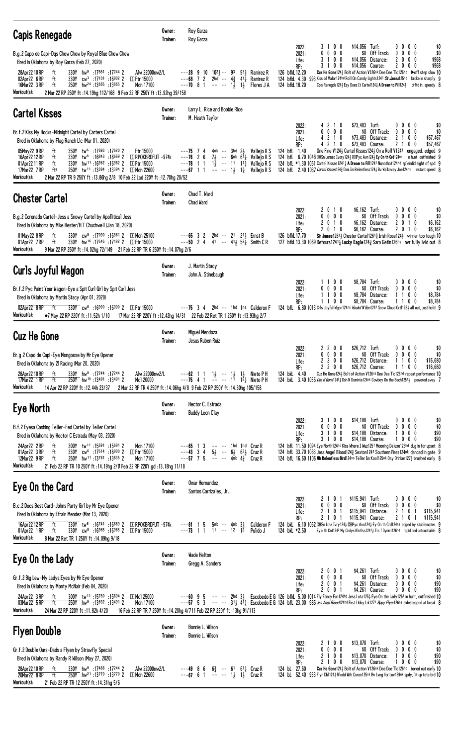| <b>Capis Renegade</b>                                                                                                                                                                                                                                                                                                                                                                                                                                                                                                                | Owner:<br>Trainer: | Roy Garza<br>Roy Garza                                                                                                                                                                                                                                                                                                                                                                                                                                                                                                                                                                                                                                                                                                                                                                                                                                       |
|--------------------------------------------------------------------------------------------------------------------------------------------------------------------------------------------------------------------------------------------------------------------------------------------------------------------------------------------------------------------------------------------------------------------------------------------------------------------------------------------------------------------------------------|--------------------|--------------------------------------------------------------------------------------------------------------------------------------------------------------------------------------------------------------------------------------------------------------------------------------------------------------------------------------------------------------------------------------------------------------------------------------------------------------------------------------------------------------------------------------------------------------------------------------------------------------------------------------------------------------------------------------------------------------------------------------------------------------------------------------------------------------------------------------------------------------|
| B.g.2 Capo de Capi-Dqs Chew Chew by Royal Blue Chew Chew<br>Bred in Oklahoma by Roy Garza (Feb 27, 2020)<br>28Apr22 10 RP<br>ft<br>330Y hw <sup>9</sup> :17881 :17244 2<br>Alw 22000nw2/L                                                                                                                                                                                                                                                                                                                                            |                    | $0\quad 0$<br>\$14,056 Turf:<br>$0\,0\,0\,0$<br>\$0<br>2022:<br>31<br>$0\ 0\ 0\ 0$<br>\$0 Off Track:<br>$0\ 0\ 0$<br>\$0<br>2021:<br>0<br>31<br>$0\quad 0$<br>$\mathbf{2}$<br>Life:<br>\$14,056 Distance:<br>$0\,0\,0$<br>\$968<br>\$968<br>3100<br>\$14,056 Course:<br>2000<br>RP:<br>$---28$ 9 10 10 <sup>2</sup> <sub>2</sub> $---$ 9 <sup>3</sup> 9 <sup>3</sup> <sub>2</sub> Ramirez R<br>126 bfkL 12.20<br>Cuz He Gone 124 3 Bolt of Action V126nk Dee Dee Tlc126hd Doff step slow 10                                                                                                                                                                                                                                                                                                                                                                  |
| 330Y cw <sup>3</sup> :17101 :16902 2 SFtr 15000<br>02Apr22 6RP<br>ft<br>250Y hw <sup>24</sup> :13665:136652<br>16Mar22 3 RP<br>Mdn 17100<br>ft<br>Workout(s):<br>2 Mar 22 RP 250Y ft : 14.19hg 112/168 9 Feb 22 RP 250Y ft : 13.92hg 39/158                                                                                                                                                                                                                                                                                          |                    | $- - -68$ 7 2 2hd $- - 4\frac{3}{4}$ 41 $\frac{1}{4}$ Ramirez R<br>124 bfkL 4.30 993 Kiss of Valor124hd Roll On Candy Lights1241 Sir James125hd broke in sharply 9<br>$--70$ 8 1 -- -- 1 $\frac{1}{2}$ 1 $\frac{1}{2}$<br>124 bfkL 18.20<br>Cpis Renegde124} Esy Does It Carte1124} A Dream to Fil1124} drftd in, speedy 8<br>Flores J A                                                                                                                                                                                                                                                                                                                                                                                                                                                                                                                     |
| <b>Cartel Kisses</b>                                                                                                                                                                                                                                                                                                                                                                                                                                                                                                                 | Owner:<br>Trainer: | Larry L. Rice and Bobbie Rice<br>M. Heath Taylor<br>\$73,483 Turf:<br>4210<br>$0\,0\,0\,0$<br>2022:<br>\$0                                                                                                                                                                                                                                                                                                                                                                                                                                                                                                                                                                                                                                                                                                                                                   |
| Br.f.2 Kiss My Hocks-Midnight Cartel by Carters Cartel<br>Bred in Oklahoma by Flag Ranch Llc (Mar 01, 2020)<br>350Y tw <sup>6</sup> :17693 :17620 2<br>Ftr 15000<br>05May22 9 RP<br>ft<br>16Apr22 12 RP<br>ft<br>$330Y$ tw <sup>8</sup> :16843 :16669 2<br>S RPOKBRDFUT -974k<br>330Y hw <sup>11</sup> :16962 :16962 2<br>01Apr22 11 RP<br>ft<br>⑤ Ftr 15000<br>250Y tw <sup>11</sup> :13394 :13394 2 SMdn 22600<br>17Mar22 7 RP<br>fts<br>Workout(s):<br>2 Mar 22 RP TR 9 250Y ft: 13.86hg 2/8 10 Feb 22 Lad 220Y ft: 12.70hg 20/52 |                    | $0\ 0\ 0\ 0$<br>\$0 Off Track:<br>2021:<br>0<br>$0\,0\,0$<br>\$0<br>4 2 1 0<br>2<br>\$57,467<br>\$73,483 Distance:<br>100<br>Life:<br>4 2 1 0<br>\$73,483 Course:<br>21<br>\$57,467<br>RP:<br>$0\quad 0$<br>4nk -- 3hd 2½<br>124 bfL 1.40<br>$---75$ 74<br>Vallejo R S<br>One Fine V1243 Cartel Kisses1243 On a Roll V1241 engaged, edged 9<br>$---76$ 2 6 $7\frac{1}{2}$ -- 6nk $6\frac{1}{4}$ Vallejo R S<br>124 bfl 6.70 1048 DELSn Lornzo Ivory1243 DEPyc Avn1243 Ey On th Crd124ns in hunt, outfinished 9<br>124 bfL *1.30 1051 Cartel Kisses12411 A Dream to Fill1241 Nunothat124hd splendid sight of spd 9<br>$--78$ 1 1 1 $1\frac{1}{2}$ -- 11 11 $\frac{1}{4}$<br>Vallejo R S<br>$---67$ 1 1 $---$ 1 $\frac{1}{2}$ 1 $\frac{3}{4}$<br>124 bfL 2.40 1037 Cartel Kisses1243 Dam Im Relentless1243 Bv Walkaway Joe124ns instant speed 8<br>Valleio R S |
| <b>Chester Cartel</b>                                                                                                                                                                                                                                                                                                                                                                                                                                                                                                                | Owner:<br>Trainer: | Chad T. Ward<br>Chad Ward                                                                                                                                                                                                                                                                                                                                                                                                                                                                                                                                                                                                                                                                                                                                                                                                                                    |
| B.g.2 Coronado Cartel-Jess a Snowy Cartel by Apollitical Jess<br>Bred in Oklahoma by Mike Hester/H T Chuchwell (Jan 18, 2020)<br>330Y cw <sup>8</sup> :17090 :16861 2 SMdn 25100<br>01May22 8RP<br>ft<br>330Y hw <sup>16</sup> :17546:17182 2 SFtr 15000<br>01Apr22 7RP<br>ft<br>Workout(s):<br>9 Mar 22 RP 250Y ft: 14.02hg 72/149 21 Feb 22 RP TR 6 250Y ft: 14.07hg 2/6                                                                                                                                                           |                    | 2010<br>\$6,162 Turf:<br>\$0<br>2022:<br>$0\,0\,0\,0$<br>$0\ 0\ 0\ 0$<br>\$0 Off Track:<br>\$0<br>$0\ 0\ 0$<br>2021:<br>0<br>2 0 1 0<br>\$6,162 Distance:<br>2010<br>\$6,162<br>Life:<br>\$6,162 Course:<br>201<br>\$6,162<br>RP:<br>2 0 1 0<br>0<br>---65 3 2 2hd -- 2 <sup>1</sup> 2 <sup>1</sup> 2 Ernst B<br>---50 2 4 4 <sup>1</sup> -- 4 <sup>1</sup> 2 <sup>5</sup> 2 <sup>1</sup> Smith C R<br>Sir James 1261 <sup>1</sup> / <sub>3</sub> Chester Carte 1261 <sup>3</sup> / <sub>4</sub> Irish Rose 124 <sup>1</sup> / <sub>3</sub> winner too tough 10<br>126 bfkL 17.70<br>127 bfkL 13.30 1069 Defours1241 $\frac{1}{4}$ Lucky Eagle124 $\frac{3}{4}$ Sara Getin126ns nvr fully 1v1d out 8                                                                                                                                                         |
| Curls Joyful Wagon                                                                                                                                                                                                                                                                                                                                                                                                                                                                                                                   | Owner:<br>Trainer: | J. Martin Stacy<br>John A. Stinebaugh                                                                                                                                                                                                                                                                                                                                                                                                                                                                                                                                                                                                                                                                                                                                                                                                                        |
| Br.f.2 Pyc Paint Your Wagon-Eye a Spit Curl Girl by Spit Curl Jess<br>Bred in Oklahoma by Martin Stacy (Apr 01, 2020)<br>330Y cw <sup>6</sup> :16990:16990 2 SFtr 15000<br>02Apr22 8RP<br>ft<br>Workout(s):<br>●7 May 22 RP 220Y ft:11.52h 1/10 17 Mar 22 RP 220Y ft:12.42hg 14/31 22 Feb 22 Ret TR 1 250Y ft:13.93hg 2/7                                                                                                                                                                                                            |                    | 1100<br>\$8,784 Turf:<br>\$0<br>2022:<br>0000<br>0 0 0 0<br>\$0 Off Track:<br>$0\ 0\ 0$<br>0<br>\$0<br>2021:<br>1100<br>\$8,784 Distance:<br>1<br>100<br>\$8,784<br>Life:<br>\$8,784<br>RP:<br>1100<br>\$8,784 Course:<br>1100<br>---75 3 4 2hd -- 1hd 1ns Calderon F<br>124 bfl 6.80 1013 Crls Joyful Wgon124ns Hookd N Gon1241 Snow Cloud Crt11281 all out, just held 9                                                                                                                                                                                                                                                                                                                                                                                                                                                                                    |
| <b>Cuz He Gone</b>                                                                                                                                                                                                                                                                                                                                                                                                                                                                                                                   | Owner:<br>Trainer: | <b>Miquel Mendoza</b><br>Jesus Ruben Ruiz                                                                                                                                                                                                                                                                                                                                                                                                                                                                                                                                                                                                                                                                                                                                                                                                                    |
| Br.g.2 Capo de Capi-Eye Mongoose by Mr Eye Opener<br>Bred in Oklahoma by 21 Racing (Mar 20, 2020)<br>$330Y$ hw <sup>9</sup> :17244 :17244 2<br>Alw 22000nw2/L<br>28Apr22 10 RP<br>ft<br>250Y hw <sup>15</sup> :13491:13491<br>17Mar22 1RP<br>Mc1 20000<br>ft<br>Workout(s):<br>14 Apr 22 RP 220Y ft: 12.44h 23/37                                                                                                                                                                                                                    |                    | $$26,712$ Turf:<br>2022:<br>2200<br>$0\,0\,0\,0$<br>\$0<br>$0\ 0\ 0\ 0$<br>\$0 Off Track:<br>$0\quad 0\quad 0\quad 0$<br>\$0<br>2021:<br>\$16,680<br>2200<br>$$26,712$ Distance:<br>1100<br>Life:<br>RP:<br>2200<br>\$26,712 Course:<br>1100<br>\$16,680<br>---62 1 1 $1\frac{1}{2}$ -- $1\frac{1}{2}$ 1 $\frac{1}{2}$ Nieto P H<br>---75 4 1 -- -- 1 <sup>1</sup> 12 <sub>4</sub> Nieto P H<br>Cuz He Gone1243 Bolt of Action V126nk Dee Dee T1c126hd repeat performance 10<br>124 bkL 4.40<br>124 bkl 3.40 1035 Cuz H Gone1242; Dsh N Dominte124nk Cowboy On the Bech1251; powered away 7<br>2 Mar 22 RP TR 4 250Y ft : 14.06hg 4/8 9 Feb 22 RP 250Y ft : 14.30hg 105/158                                                                                                                                                                                  |
| Eye North                                                                                                                                                                                                                                                                                                                                                                                                                                                                                                                            | Owner:<br>Trainer: | Hector C. Estrada<br><b>Buddy Leon Clay</b>                                                                                                                                                                                                                                                                                                                                                                                                                                                                                                                                                                                                                                                                                                                                                                                                                  |
| B.f.2 Eyesa Cashing Teller-Fed Cartel by Teller Cartel<br>Bred in Oklahoma by Hector C Estrada (May 03, 2020)<br>300Y tw <sup>11</sup> :15691:156912<br>ft<br>Mdn 17100<br>24Apr22 2RP<br>330Y cw <sup>6</sup> :17514 :16900 2 SFtr 15000<br>01Apr22 3RP<br>ft<br>12Mar22 9 RP<br>250Y hw <sup>11</sup> :13761 :13635 2<br>ft<br>Mdn 17100<br>Workout(s):<br>21 Feb 22 RP TR 10 250Y ft : 14.19hg 2/0 Feb 22 RP 220Y gd : 13.18hg 11/18                                                                                              |                    | 3100<br>$$14,188$ Turf:<br>0000<br>2022:<br>\$0<br>0 0 0 0<br>\$0 Off Track:<br>$0\,0\,0\,0$<br>\$0<br>2021:<br>3 1 0 0<br>\$14,188 Distance:<br>$0\,$ $0\,$ $0\,$<br>\$90<br>Life:<br>\$14,188 Course:<br>\$90<br>3100<br>1000<br>RP:<br>$---65$ 1 3<br>124 bfL 11.50 1094 Eye North124hd Kiss Where I Wuz1251 Mooning Deluxe126hd dug in for upset 8<br>-- -- 1hd 1hd Cruz R<br>---43 3 4 5 <sup>1</sup> <sub>2</sub> -- 6 <sup>1</sup> <sub>2</sub> 6 <sup>3</sup> <sub>2</sub> Cruz R<br>--- <b>57</b> 7 5 -- -- 4nk 4 <sup>3</sup> <sub>4</sub> Cruz R<br>124 bfL 33.70 1083 Jess Angel Blood1243 Sexton1241 Southern Fires124nk danced in gate 9<br>124 bfl 16.60 1106 Mh Relentless Bird124ns Teller Im Kool125nk Day Drinker1273 brushed early 8                                                                                                     |
| Eye On the Card                                                                                                                                                                                                                                                                                                                                                                                                                                                                                                                      | Owner:<br>Trainer: | Omar Hernandez<br>Santos Carrizales, Jr.                                                                                                                                                                                                                                                                                                                                                                                                                                                                                                                                                                                                                                                                                                                                                                                                                     |
| B.c.2 Docs Best Card-Johns Party Girl by Mr Eye Opener<br>Bred in Oklahoma by Efrain Mendez (Mar 13, 2020)<br>ft<br>330Y tw <sup>8</sup> :16741 :16669 2<br>16Apr22 12 RP<br><b>SI RPOKBRDFUT -974k</b><br>330Y cw <sup>8</sup> :16965 :16965 2<br>01Apr22 1RP<br>⑤ Ftr 15000<br>ft<br>Workout(s):<br>8 Mar 22 Ret TR 1 250Y ft: 14.09hg 9/18                                                                                                                                                                                        |                    | \$115,941 Turf:<br>2 1 0 1<br>\$0<br>2022:<br>$0\,0\,0\,0$<br>0 0 0 0<br>\$0 Off Track:<br>$0\ 0\ 0$<br>\$0<br>2021:<br>0<br>\$115,941 Distance:<br>2 1 0 1<br>2<br>0<br>\$115,941<br>Life:<br>\$115,941 Course:<br>\$115,941<br>RP:<br>2 1 0 1<br>21<br>0<br>124 bkl 6.10 1062 EMSn Lrnz Ivry 1243 EMPyc Avn1243 Ey On th Crd124ns edged by stablemates 9<br>$--81$ 1 5<br>5nk -- 4nk 3½<br>Calderon F<br>$---73$ 1 1 1 $---$ 12 12<br>Pulido J<br>124 bkL *2.50<br>Ey n th Crd1242 My Cndys RIntlss12413 Trs f Dynmt126hd rapid and untouchable 8                                                                                                                                                                                                                                                                                                          |
| Eye On the Lady                                                                                                                                                                                                                                                                                                                                                                                                                                                                                                                      | Owner:<br>Trainer: | Wade Helton<br>Gregg A. Sanders                                                                                                                                                                                                                                                                                                                                                                                                                                                                                                                                                                                                                                                                                                                                                                                                                              |
| Gr.f.2 Big Lew-My Ladys Eyes by Mr Eye Opener<br>Bred in Oklahoma by Monty McNair (Feb 04, 2020)<br>300Y tw <sup>11</sup> :15780 :15694 2<br>SMc1 25000<br>24Apr22 3 RP<br>ft<br>250Y hw <sup>9</sup> :13692 :13491 2<br>03Mar22 5 RP<br>Mdn 17100<br>ft<br>Workout(s):<br>24 Mar 22 RP 220Y ft: 11.82h 4/20                                                                                                                                                                                                                         |                    | 2001<br>$$4,261$ Turf:<br>\$0<br>2022:<br>0000<br>0 0 0 0<br>\$0 Off Track:<br>$0\ 0\ 0\ 0$<br>\$0<br>2021:<br>2 0 0 1<br>$0\ 0\ 0\ 0$<br>\$4,261 Distance:<br>\$90<br>Life:<br>2001<br>\$90<br>\$4,261 Course:<br>0000<br>RP:<br>$---60$ 9 5 $- --$ 2hd 3 $3$ Escobedo E G 126 bfkL 5.00 1014 Fly Fancy Fun124hd Jess Lota126 $\frac{1}{2}$ Eye On the Lady1261 in hunt, outfinished 10<br>---57 5 3 -- -- 313 411 Escobedo E G 124 bfl. 23.00 985 Jss Angl Blood124hd First Libby Lrk1271 Hppy Flyer126ns sidestepped at break 8<br>16 Feb 22 RP TR 7 250Y ft : 14.20hg 4/711 Feb 22 RP 220Y ft : 13hg 91/113                                                                                                                                                                                                                                              |
| <b>Flyen Double</b>                                                                                                                                                                                                                                                                                                                                                                                                                                                                                                                  | Owner:<br>Trainer: | Bonnie L. Wilson<br>Bonnie L. Wilson                                                                                                                                                                                                                                                                                                                                                                                                                                                                                                                                                                                                                                                                                                                                                                                                                         |
| Gr.f.2 Double Ours-Dads a Flyen by Strawfly Special<br>Bred in Oklahoma by Randy R Wilson (May 27, 2020)<br>330Y hw <sup>9</sup> :17488 :17244 2<br>Alw 22000nw2/L<br>28Apr22 10 RP<br>ft<br>250Y hw <sup>21</sup> :13770 :13770 2 SMdn 22600<br>20Mar22 8RP<br>ft<br>Workout(s):<br>21 Feb 22 RP TR 12 250Y ft: 14.31hg 5/6                                                                                                                                                                                                         |                    | \$13,070 Turf:<br>2 1 0 0<br>\$0<br>2022:<br>$0\ 0\ 0\ 0$<br>0 0 0 0<br>\$0 Off Track:<br>$0\,0\,0\,0$<br>\$0<br>2021:<br>2100<br>\$13,070 Distance:<br>$0\,$ $0\,$ $0\,$<br>\$90<br>Life:<br>2 1 0 0<br>\$13,070 Course:<br>$0\,$ $0\,$ $0\,$<br>\$90<br>RP:<br>$---49$ 8 6<br>$6\frac{3}{4}$ -- 61 61 Gruz R<br>Cuz He Gone124} Bolt of Action V126nk Dee Dee Tlc126hd bored out early 10<br>124 bL 27.60<br>$---67$ 6 1 -- -- 1 $\frac{1}{2}$ 1 $\frac{1}{2}$ Cruz R<br>124 bl 52.40 933 Flyn Db11243 Rlodd Wth Coron125nk Bv Lvng for Lov129nk spdy, lit up tote brd 10                                                                                                                                                                                                                                                                                  |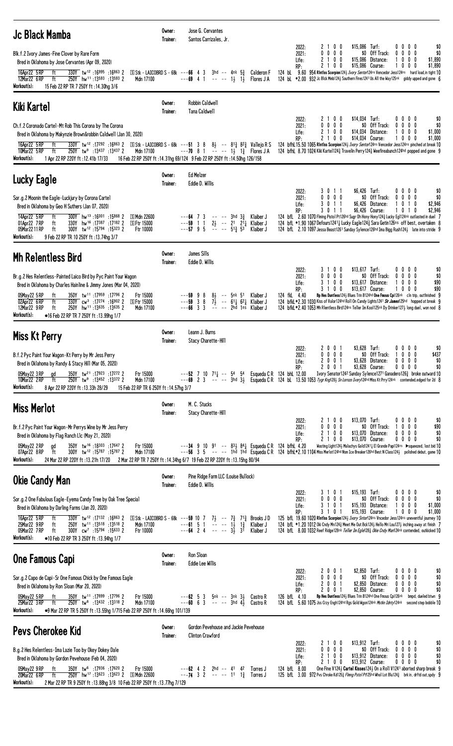| <b>Jc Black Mamba</b>                                                                                                                                                                                                                                                                                                                                                                                                                                    | Owner:<br>Trainer: | Jose G. Cervantes<br>Santos Carrizales, Jr.                                                                                                                                                                                                                                                                                                           |                                                                                                                                                                                                                                                                                                                                                                                                                                                                                                                                                                      |
|----------------------------------------------------------------------------------------------------------------------------------------------------------------------------------------------------------------------------------------------------------------------------------------------------------------------------------------------------------------------------------------------------------------------------------------------------------|--------------------|-------------------------------------------------------------------------------------------------------------------------------------------------------------------------------------------------------------------------------------------------------------------------------------------------------------------------------------------------------|----------------------------------------------------------------------------------------------------------------------------------------------------------------------------------------------------------------------------------------------------------------------------------------------------------------------------------------------------------------------------------------------------------------------------------------------------------------------------------------------------------------------------------------------------------------------|
| Blk.f.2 Ivory James-Fine Clover by Rare Form<br>Bred in Oklahoma by Jose Cervantes (Apr 09, 2020)<br>330Y tw <sup>12</sup> :16995:168632<br>16Apr22 5 RP<br>ft<br>250Y hw <sup>11</sup> :13593 :13593 2<br>12Mar22 6RP<br>ft<br>Mdn 17100<br>Workout(s):<br>15 Feb 22 RP TR 7 250Y ft : 14.30hg 3/6                                                                                                                                                      |                    | <b>S Stk - LAICOBRD S - 68k</b> - - - 66 4 3 3hd -- 4nk $5\frac{3}{4}$ Calderon F<br>$---69$ 4 1 $---$ 1, 1,<br>Flores J A                                                                                                                                                                                                                            | \$15,086 Turf:<br>\$0<br>2100<br>$0\,0\,0\,0$<br>2022:<br>$0\ 0\ 0\ 0$<br>\$0 Off Track:<br>$0\ 0\ 0\ 0$<br>2021:<br>\$0<br>Life:<br>2<br>100<br>\$15,086 Distance:<br>$0\ 0\ 0$<br>\$1,890<br>2100<br>\$15,086 Course:<br>\$1,890<br>1000<br>RP:<br>124 bl 9.60 954 Rintlss Scorpion124 <i>Ivory Sentor</i> 124ns Vencedor Jess124ns hard load, in tight 10<br>124 bl *2.00 932 Jc Blck Mmb124} Southern Fires1241 Us All the Way125nk giddy upped and gone 6                                                                                                       |
| Kiki Kartel                                                                                                                                                                                                                                                                                                                                                                                                                                              | Owner:<br>Trainer: | <b>Robbin Caldwell</b><br>Tana Caldwell                                                                                                                                                                                                                                                                                                               |                                                                                                                                                                                                                                                                                                                                                                                                                                                                                                                                                                      |
| Ch.f.2 Coronado Cartel-Mt Rob This Corona by The Corona<br>Bred in Oklahoma by Makynzie Brown&robbin Caldwell (Jan 30, 2020)<br>16Apr22 5 RP<br>ft<br>10Mar22 5 RP<br>ft<br>250Y tw <sup>9</sup> :13437 :13437 2<br>Mdn 17100<br>Workout(s):<br>1 Apr 22 RP 220Y ft: 12.41b 17/33                                                                                                                                                                        |                    | $\frac{330\text{V}}{330\text{V}}$ tw <sup>12</sup> :17292:16863 2 $\text{S}$ Stk - LAICOBRD S - 68k - - - 51 3 8 8 $\frac{1}{2}$ - - 8 <sup>13</sup> / <sub>4</sub> 8 <sup>23</sup> / <sub>4</sub> Vallejo R S<br>$---70$ 8 1 $-- 1\frac{1}{2}$ $1\frac{3}{4}$ Flores JA<br>16 Feb 22 RP 250Y ft: 14.31hg 69/124 9 Feb 22 RP 250Y ft: 14.50hg 126/158 | \$14,034 Turf:<br>\$0<br>2100<br>$0\,0\,0\,0$<br>2022:<br>$0\ 0\ 0\ 0$<br>\$0 Off Track:<br>2021:<br>$0\,0\,0\,0$<br>\$0<br>2100<br>$$14,034$ Distance:<br>$0\,$ $0\,$ $0\,$<br>\$1,000<br>Life:<br>RP:<br>2100<br>\$14,034 Course:<br>1000<br>\$1,000<br>124 bfhl 15.50 1065 Rintlss Scorpion1243 Ivory Sentor124ns Vencedor Jess124ns pinched at break 10<br>124 bfhl 8.70 1024 Kiki Karte1124 <sub>3</sub> Travelin Perry124 <sub>3</sub> Weefireabunch124hd popped and gone 9                                                                                    |
| Lucky Eagle                                                                                                                                                                                                                                                                                                                                                                                                                                              | Owner:<br>Trainer: | Ed Melzer<br>Eddie D. Willis                                                                                                                                                                                                                                                                                                                          |                                                                                                                                                                                                                                                                                                                                                                                                                                                                                                                                                                      |
| Sor.g.2 Moonin the Eagle-Luckjury by Corona Cartel<br>Bred in Oklahoma by Geo H Suthers (Jan 07, 2020)<br>14Apr22 5 RP<br>300Y hw <sup>13</sup> :16001:15868 2<br>ft<br>S Mdn 22600<br>01Apr22 7RP<br>330Y hw <sup>16</sup> :17387 :17182 2<br>ft<br>国 Ftr 15000<br>05Mar2211RP<br>ft<br>300Y tw <sup>12</sup> :15794:15323 2<br>Ftr 10000<br>Workout(s):<br>9 Feb 22 RP TR 10 250Y ft :13.74hg 3/7                                                      |                    | $---64$ 7 3 $---3$ 3hd $3\frac{3}{4}$ Klaiber J<br>$---59$ 1 1 2 $\frac{1}{2}$ -- 2 <sup>1</sup> 2 <sup>1</sup> $\frac{1}{4}$ Klaiber J<br>$---57$ 9 5 $---$ 51 $\frac{3}{4}$ 53<br>Klaiber J                                                                                                                                                         | \$6,426 Turf:<br>$0\ 0\ 0\ 0$<br>\$0<br>2022:<br>3011<br>0000<br>\$0 Off Track:<br>\$0<br>2021:<br>0000<br>3011<br>\$6,426 Distance:<br>0 1 0<br>\$2,946<br>Life:<br>1<br>\$6,426 Course:<br>\$2,946<br>RP:<br>3011<br>10<br>-1<br>0<br>124 bfL 2.60 1070 Flming Pistol Pt126hd Sugr Oh Hony Hony124 $\frac{3}{4}$ Lucky Eg1124nk outlasted in duel 7<br>124 bfL *1.90 1067 Defours1241 <sub>4</sub> Lucky Eagle124 <sub>4</sub> Sara Getin126ns off best, overtaken 8<br>124 bfL 2.10 1097 Jessa Beast1261 Sunday Sylence126hd Ima Bigg Rush124 late into stride 9  |
| <b>Mh Relentless Bird</b>                                                                                                                                                                                                                                                                                                                                                                                                                                | Owner:<br>Trainer: | James Sills<br>Eddie D. Willis                                                                                                                                                                                                                                                                                                                        |                                                                                                                                                                                                                                                                                                                                                                                                                                                                                                                                                                      |
| Br.g.2 Hes Relentless-Painted Laico Bird by Pyc Paint Your Wagon<br>Bred in Oklahoma by Charles Hainline & Jimmy Jones (Mar 04, 2020)<br>05May22 5 RP<br>350Y tw <sup>11</sup> :17959 :17796 2<br>Ftr 15000<br>ft<br>02Apr22 6RP<br>ft<br>$330Y$ cw <sup>3</sup> :17 <sup>274</sup> :16 <sup>902</sup> 2 SFtr 15000<br>12Mar22 9RP<br>250Y hw <sup>11</sup> :13635 :13635 2<br>Mdn 17100<br>ft<br>Workout(s):<br>•16 Feb 22 RP TR 7 250Y ft :13.99hg 1/7 |                    | 81 -- 5nk 51<br>$---59$ 9 8<br>Klaiber J<br>$-$ - - 59 3 8 $7\frac{1}{2}$ - 611 621 Klaiber J<br>$---66$ 3 3 $---$ 2hd 1ns Klaiber J                                                                                                                                                                                                                  | \$13,617 Turf:<br>2022:<br>3100<br>0000<br>\$0<br>$0\ 0\ 0\ 0$<br>\$0 Off Track:<br>$0\,0\,0\,0$<br>2021:<br>\$0<br>3 1 0 0<br>\$13,617 Distance:<br>\$90<br>1000<br>Life:<br>3 1 0 0<br>\$13,617 Course:<br>1000<br>\$90<br>RP:<br>124 fkL 4.40<br>Bp Hes Duntless1243 Blues Trin B124hd One Fmous Cpi126nk cln trip, outfinished 9<br>124 bfkL *2.30 1030 Kiss of Valor124hd Roll On Candy Lights1241 Sir James125hd hopped at break 9<br>124 bfkL *2.40 1053 Mh Rientiess Bird124ns Teiler Im Kool125nk Dy Drinker127} long duel, won nod 8                       |
| Miss Kt Perry                                                                                                                                                                                                                                                                                                                                                                                                                                            | Owner:<br>Trainer: | Leann J. Burns<br>Stacy Charette-Hill                                                                                                                                                                                                                                                                                                                 |                                                                                                                                                                                                                                                                                                                                                                                                                                                                                                                                                                      |
| B.f.2 Pyc Paint Your Wagon-Kt Perry by Mr Jess Perry<br>Bred in Oklahoma by Randy & Stacy Hill (Mar 05, 2020)<br>350Y tw <sup>21</sup> :17923:172722<br>05May22 3 RP<br>Ftr 15000<br>ad<br>10Mar22 2RP<br>250Y tw <sup>9</sup> :13452 :13372 2<br>Mdn 17100<br>ft<br>Workout(s):<br>8 Apr 22 RP 220Y ft: 13.33h 28/29<br>15 Feb 22 RP TR 6 250Y ft: 14.57hg 3/7                                                                                          |                    | $---52$ 7 10 7 <sup>1</sup> <sub>4</sub> $---54$ 5 <sup>4</sup> Esqueda C R 124 bhl 12.00                                                                                                                                                                                                                                                             | \$3,628 Turf:<br>2001<br>0000<br>\$0<br>2022:<br>$0\ 0\ 0\ 0$<br>\$0 Off Track:<br>1000<br>\$437<br>2021:<br>2 0 0 1<br>$$3,628$ Distance:<br>$0\quad 0\quad 0\quad 0$<br>\$0<br>Life:<br>2 0 0 1<br>$0\ 0\ 0\ 0$<br>\$3,628 Course:<br>\$0<br>RP:<br>Ivory Senator1242 Sunday Sylence1271 Ganadero1263 broke outward 10<br>---69 2 3 -- -- 3hd 3} Esqueda CR 124 bL 13.50 1053 Tygr Kng1283 Sn Lornzo Ivory124hd Miss Kt Prry124nk contended, edged for 2d 8                                                                                                        |
| <b>Miss Merlot</b>                                                                                                                                                                                                                                                                                                                                                                                                                                       | Owner:<br>Trainer: | M. C. Stucks<br>Stacy Charette-Hill                                                                                                                                                                                                                                                                                                                   |                                                                                                                                                                                                                                                                                                                                                                                                                                                                                                                                                                      |
| Br.f.2 Pyc Paint Your Wagon-Mr Perrys Wine by Mr Jess Perry<br>Bred in Oklahoma by Flag Ranch Llc (May 21, 2020)<br>350Y tw <sup>16</sup> :18303:17647 2<br>Ftr 15000<br>05May22 2 RP<br>ad<br>300Y tw <sup>12</sup> :15787:15787 2<br>Mdn 17100<br>07Apr22 8RP<br>ft<br>Workout(s):<br>24 Mar 22 RP 220Y ft:13.21h 17/20                                                                                                                                |                    | $---34$ 9 10 91 $---833$ 84 $\frac{1}{4}$ Esqueda C R 124 bfhl 4.20<br>2 Mar 22 RP TR 7 250Y ft :14.34hg 6/7 19 Feb 22 RP 220Y ft :13.15hg 80/94                                                                                                                                                                                                      | \$13,070 Turf:<br>2100<br>0000<br>\$0<br>2022:<br>$0\ 0\ 0\ 0$<br>\$0 Off Track:<br>1000<br>\$90<br>2021:<br>2100<br>$$13,070$ Distance:<br>0000<br>\$0<br>Life:<br>2 1 0 0<br>\$13,070 Course:<br>0000<br>\$0<br>RP:<br>Wasting Light124} Malachys Gold1241} El Grande Papi124ns ▶squeezed, lost bid 10<br>---56 3 5 -- -- 1hd 1hd Esqueda C R 124 bfhL*2.10 1104 Miss Merlot124hd Nsm Ice Breaker126hd Best N Class124} polished debut, game 10                                                                                                                    |
| <b>Okie Candy Man</b>                                                                                                                                                                                                                                                                                                                                                                                                                                    | Owner:<br>Trainer: | Pine Ridge Farm LLC (Louise Bullock)<br>Eddie D. Willis                                                                                                                                                                                                                                                                                               |                                                                                                                                                                                                                                                                                                                                                                                                                                                                                                                                                                      |
| Sor.g.2 One Fabulous Eagle-Eyema Candy Tree by Oak Tree Special<br>Bred in Oklahoma by Darling Farms (Jan 20, 2020)<br>16Apr22 5 RP<br>330Y tw <sup>12</sup> :17132:168632<br>ft<br>25Mar22 9 RP<br>250Y tw <sup>11</sup> :13518 :13518 2<br>Mdn 17100<br>ft<br>05Mar22 7RP<br>$300Y$ cw <sup>7</sup> :15794 :15633 2<br>Ftr 10000<br>ft<br>Workout(s):<br>•10 Feb 22 RP TR 3 250Y ft :13.94hg 1/7                                                       |                    | $\boxed{5}$ Stk - LAICOBRD S - 68k ---59 10 7 7 <sub>2</sub> -- 7 <sub>4</sub> 7 <sup>1</sup> <sub>4</sub> Brooks J D<br>$- -61$ 5 1 $- - -12$ 13<br>$- -64$ 2 4 $- - -32$ 31<br>Klaiber J<br>Klaiber J                                                                                                                                               | $$15,193$ Turf:<br>3 1 0 1<br>0000<br>\$0<br>2022:<br>$0\ 0\ 0\ 0$<br>\$0 Off Track:<br>$0\,0\,0\,0$<br>\$0<br>2021:<br>\$15,193 Distance:<br>3 1 0 1<br>1000<br>\$1,000<br>Life:<br>\$15,193 Course:<br>1000<br>3 1 0 1<br>\$1,000<br>RP:<br>125 bfl 19.60 1020 Rintlss Scorpion1243 Ivary Sntar124ns Vncedor Jess124ns uneventful journey 10<br>124 bfl. *1,20 1012 Oki Cndy Mn1243 Meet Me Out Bck1243 Hello Mri Lou1273 inching away at finish 7<br>124 bfl. 8.00 1032 Reef Ridge128nk Teller Im Egle128 <sub>3</sub> Okie Cndy Man124nk contended, outkicked 10 |
| One Famous Capi                                                                                                                                                                                                                                                                                                                                                                                                                                          | Owner:<br>Trainer: | Ron Sloan<br>Eddie Lee Willis                                                                                                                                                                                                                                                                                                                         |                                                                                                                                                                                                                                                                                                                                                                                                                                                                                                                                                                      |
| Sor.g. 2 Capo de Capi-Sr One Famous Chick by One Famous Eagle<br>Bred in Oklahoma by Ron Sloan (Mar 20, 2020)<br>350Y tw <sup>11</sup> :17899 :17796 2<br>Ftr 15000<br>05May22 5 RP<br>ft<br>250Y tw <sup>8</sup> :13432 :13318 2<br>Mdn 17100<br>25Mar22 3RP<br>ft<br>Workout(s):<br>●9 Mar 22 RP TR 5 250Y ft : 13.55hg 1/715 Feb 22 RP 250Y ft : 14.66hg 101/139                                                                                      |                    | $---62$ 5 3 5nk $---3$ nk 34 Castro R<br>$---60$ 6 3 $---$ 3hd $4\overline{3}$ Castro R                                                                                                                                                                                                                                                               | \$2,850 Turf:<br>2001<br>$0\ 0\ 0\ 0$<br>\$0<br>2022:<br>0 0 0 0<br>\$0 Off Track:<br>$0\ 0\ 0\ 0$<br>\$0<br>2021:<br>2001<br>\$2,850 Distance:<br>0000<br>\$0<br>Life:<br>2 0 0 1<br>\$2,850 Course:<br>$0\ 0\ 0\ 0$<br>\$0<br>RP:<br>126 bfL 4.10<br>Bp Hes Duntless1243 Blues Trin B124hd One Fmous Cpi126nk bmpd, dueled btwn 9<br>124 bfl. 5.60 1075 Jss Crzy Engh124hd Rgs Gold Wgon124nk Mstkn Idnty124nk second step bobble 10                                                                                                                               |
| Pevs Cherokee Kid                                                                                                                                                                                                                                                                                                                                                                                                                                        | Owner:<br>Trainer: | Gordon Pevehouse and Jackie Pevehouse<br><b>Clinton Crawford</b>                                                                                                                                                                                                                                                                                      |                                                                                                                                                                                                                                                                                                                                                                                                                                                                                                                                                                      |
| B.g.2 Hes Relentless-Ima Lazie Too by Okey Dokey Dale<br>Bred in Oklahoma by Gordon Pevehouse (Feb 04, 2020)<br>350Y tw <sup>6</sup> :17936 :17620 2<br>Ftr 15000<br>05May22 9 RP<br>ft<br>250Y hw <sup>17</sup> :13 <sup>623</sup> :13 <sup>623</sup> 2 5Mdn 22600<br>20Mar22 6RP<br>ft<br>Workout(s):<br>2 Mar 22 RP TR 9 250Y ft : 13.88hg 3/8 10 Feb 22 RP 250Y ft : 13.77hg 7/129                                                                   |                    | $---62$ 4 2 2hd $---41$ 42<br>Torres J<br>$---74$ 3 2 -- -- 11 1 <sup>3</sup><br>Torres J                                                                                                                                                                                                                                                             | \$13,912 Turf:<br>2100<br>0000<br>\$0<br>2022:<br>$0\ 0\ 0\ 0$<br>\$0 Off Track:<br>$0\,0\,0\,0$<br>2021:<br>\$0<br>\$13,912 Distance:<br>2100<br>0000<br>\$0<br>Life:<br>2 1 0 0<br>\$13,912 Course:<br>$0\ 0\ 0\ 0$<br>\$0<br>RP:<br>124 bfL 8.00<br>One Fine V1243 Cartel Kisses1243 On a Roll V1241 aborted sharp break 9<br>125 bfl 3.00 972 Pvs Chroke Kd1253 Flmng Pstol Pt125hd Whol Lot Blu1243 brk in, drftd out, spdy 9                                                                                                                                   |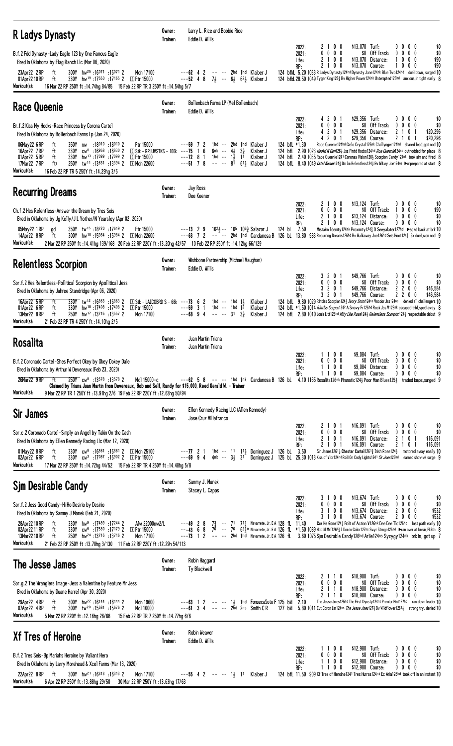| <b>R Ladys Dynasty</b>                                                                                                                                                                                                                                                                                                                                                                     | Owner:<br>Trainer: | Larry L. Rice and Bobbie Rice<br>Eddie D. Willis                                                                                                                                                                                                                                                                                                                                                                                                                                                                                                                                                                              |
|--------------------------------------------------------------------------------------------------------------------------------------------------------------------------------------------------------------------------------------------------------------------------------------------------------------------------------------------------------------------------------------------|--------------------|-------------------------------------------------------------------------------------------------------------------------------------------------------------------------------------------------------------------------------------------------------------------------------------------------------------------------------------------------------------------------------------------------------------------------------------------------------------------------------------------------------------------------------------------------------------------------------------------------------------------------------|
| B.f.2 Fdd Dynasty-Lady Eagle 123 by One Famous Eagle<br>Bred in Oklahoma by Flag Ranch Llc (Mar 06, 2020)<br>300Y hw <sup>25</sup> :16071 :16071 2<br>23Apr22 2RP<br>ft<br>Mdn 17100                                                                                                                                                                                                       |                    | 2 1 0 0<br>\$13,070 Turf:<br>0000<br>\$0<br>2022:<br>$0\ 0\ 0\ 0$<br>\$0 Off Track:<br>$0\ 0\ 0$<br>2021:<br>0<br>\$0<br>2 1 0 0<br>Life:<br>\$13,070 Distance:<br>$0\,$ $0\,$ $0\,$<br>\$90<br>RP:<br>2100<br>\$13,070 Course:<br>$0\,$ $0\,$ $0\,$<br>\$90<br>$---62$ 4 2<br>-- -- 2hd 1hd Klaiber J<br>124 bfkl 5.20 1033 R Ladys Dynasty 124hd Dynasty Jane 124nk Blue Two 124hd duel btwn, surged 10                                                                                                                                                                                                                     |
| 330Y hw <sup>19</sup> :17550 :17165 2 SFtr 15000<br>01Apr22 10 RP<br>ft<br>Workout(s):<br>16 Mar 22 RP 250Y ft: 14.74hg 84/85 15 Feb 22 RP TR 3 250Y ft: 14.54hg 5/7                                                                                                                                                                                                                       |                    | $---52$ 4 8 $7\frac{1}{2}$ $---6\frac{1}{2}$ 6 <sup>2</sup> $\frac{1}{2}$ Klaiber J<br>124 bfkl 28.50 1049 Tyger King 1263 Bv Higher Power 124nk Untempted 126hd anxious, in tight early 8                                                                                                                                                                                                                                                                                                                                                                                                                                    |
| <b>Race Queenie</b>                                                                                                                                                                                                                                                                                                                                                                        | Owner:<br>Trainer: | Bollenbach Farms LP (Mel Bollenbach)<br>Eddie D. Willis                                                                                                                                                                                                                                                                                                                                                                                                                                                                                                                                                                       |
| Br.f.2 Kiss My Hocks-Race Princess by Corona Cartel<br>Bred in Oklahoma by Bollenbach Farms Lp (Jan 24, 2020)                                                                                                                                                                                                                                                                              |                    | \$29,356 Turf:<br>4 2 0 1<br>$0\,0\,0\,0$<br>\$0<br>2022:<br>$0\ 0\ 0\ 0$<br>\$0 Off Track:<br>2021:<br>$0\,0\,0\,0$<br>\$0<br>4 2 0 1<br>\$20,296<br>\$29,356 Distance:<br>2<br>0 <sub>1</sub><br>Life:<br>-1<br>RP:<br>4 2 0 1<br>\$29,356 Course:<br>\$20,296<br>210                                                                                                                                                                                                                                                                                                                                                       |
| 06May22 6RP<br>350Y nw :18010 :18010 2<br>Ftr 15000<br>ft<br>$330Y$ cw <sup>8</sup> :16958 :16830 2<br>$S$ Stk - RPJUVSTKS - 100k ---75 1 6<br>16Apr22 7RP<br>ft<br>330Y hw <sup>13</sup> :17099 :17099 2<br>01Apr22 5RP<br><b>SFtr 15000</b><br>ft<br>250Y tw <sup>11</sup> :13631:13394 2<br>17Mar22 7 RP<br>fts<br>ි Mdn 22600<br>Workout(s):<br>16 Feb 22 RP TR 5 250Y ft :14.29hg 3/6 |                    | Race Queenie124hd Cielo Crystal125nk Challynger124hd shared lead, got nod 10<br>1hd -- 2hd 1hd Klaiber J<br>124 bfL *1.30<br>$---59$ 7 2<br>6nk -- $4\frac{1}{2}$ $3\frac{3}{2}$<br>124 bfl 2.90 1023 Hookd N Gon1263 Jss Pintd Hocks124hd Rce Queenie124ns outnodded for place 8<br>Klaiber J<br>$---72$ 8 1<br>1hd -- 1 $\frac{1}{2}$ 11<br>124 bfL 2.40 1035 Race Queenie1241 Coronas Vision126} Scorpion Candy124nk took aim and fired 8<br>Klaiber J<br>$---51$ 7 8 $--- 8^{\frac{1}{1}}$ 6 <sup>1</sup> Klaiber J<br>124 bfl 8.40 1049 Crtel Kisses124 3 Dm Im Relentless124 3 Bv Wikwy Joe124ns Dunprepared at start 8 |
| <b>Recurring Dreams</b>                                                                                                                                                                                                                                                                                                                                                                    | Owner:<br>Trainer: | Jay Ross<br>Dee Keener                                                                                                                                                                                                                                                                                                                                                                                                                                                                                                                                                                                                        |
| Ch.f.2 Hes Relentless-Answer the Dream by Tres Seis<br>Bred in Oklahoma by Jg Kelly/JL Yother/N Yearsley (Apr 02, 2020)                                                                                                                                                                                                                                                                    |                    | 2 1 0 0<br>\$13,124 Turf:<br>2022:<br>$0\,0\,0\,0$<br>\$0<br>$0\ 0\ 0\ 0$<br>\$0 Off Track:<br>$0\ 0\ 0$<br>2021:<br>\$90<br>1<br>2100<br>$$13,124$ Distance:<br>$0\,0\,0\,0$<br>\$0<br>Life:<br>2 1 0 0<br>\$13,124 Course:<br>$0\ 0\ 0\ 0$<br>\$0<br>RP:                                                                                                                                                                                                                                                                                                                                                                    |
| 350Y tw <sup>15</sup> :18720:17619 2<br>05May22 1 RP<br>Ftr 15000<br>ad<br>300Y hw <sup>10</sup> :15984 :15984 2 SMdn 22600<br>ft<br>14Apr22 8RP<br>Workout(s):<br>2 Mar 22 RP 250Y ft : 14.41hg 139/168 20 Feb 22 RP 220Y ft : 13.20hg 42/57 10 Feb 22 RP 250Y ft : 14.12hg 66/129                                                                                                        |                    | Mistakin Idenity124nk Proximity1243 0 Seeyalater127hd ▶ sqzd back at brk 10<br>1021 -- 105 1063 Salazar J<br>124 bL 7.50<br>$---13$ 2 9<br>---63 7 2 -- -- 2hd 1hd Candanosa B 126 bl. 13.80 983 Recurring Dreams126hd Bv Walkaway Joe126hd Seis Hoot124 $\frac{3}{4}$ 3x duel, won nod 9                                                                                                                                                                                                                                                                                                                                     |
| <b>Relentless Scorpion</b>                                                                                                                                                                                                                                                                                                                                                                 | Owner:<br>Trainer: | Wishbone Partnership (Michael Vaughan)<br>Eddie D. Willis                                                                                                                                                                                                                                                                                                                                                                                                                                                                                                                                                                     |
| Sor. f. 2 Hes Relentless-Pollitical Scorpion by Apollitical Jess<br>Bred in Oklahoma by Jahree Standridge (Apr 06, 2020)                                                                                                                                                                                                                                                                   |                    | 3 2 0 1<br>\$49,766 Turf:<br>2022:<br>$0\,0\,0\,0$<br>\$0<br>$0\ 0\ 0\ 0$<br>\$0 Off Track:<br>\$0<br>2021:<br>0<br>$0\ 0\ 0$<br>3 2 0 1<br>\$49,766 Distance:<br>2200<br>\$46,584<br>Life:                                                                                                                                                                                                                                                                                                                                                                                                                                   |
| 16Apr22 5 RP<br>ft<br>330Y tw <sup>12</sup> :16863:168632<br>$\boxed{S}$ Stk - LAICOBRD S - 68k ---73 6 2<br>330Y hw <sup>18</sup> :17408:17408 2<br>01Apr22 6RP<br><b>SFtr 15000</b><br>ft<br>13Mar22 8 RP<br>ft<br>250Y hw <sup>17</sup> :13715 :13557 2<br>Mdn 17100<br>Workout(s):<br>21 Feb 22 RP TR 4 250Y ft: 14.10hg 2/5                                                           |                    | 3 2 0 1<br>\$49,766 Course:<br>2200<br>\$46,584<br>RP:<br>124 bfL 9.80 1029 Rintlss Scorpion124 <i>Lvory Sntor</i> 124ns Vncdor Jss124ns denied all challengers 10<br>1hd -- 1hd 1 $\frac{1}{2}$<br>Klaiber J<br>$---59$ 3 1 1hd $---$ 1hd 12<br>Klaiber J<br>124 bfl *1.50 1014 Rintlss Scrpon1242 A Snowy Fr126hd Rock Jss V128nk escaped trbl, sped away 8<br>$--68$ 9 4<br>$3^{1}$ $3^{3}$<br>124 bfl 2.80 1010 Louis Litt125hd Mity Like Rose124 <sub>3</sub> Relentless Scorpion124 <sub>3</sub> respectable debut 9<br>Klaiber J                                                                                       |
| <b>Rosalita</b>                                                                                                                                                                                                                                                                                                                                                                            | Owner:<br>Trainer: | Juan Martin Triana<br>Juan Martin Triana                                                                                                                                                                                                                                                                                                                                                                                                                                                                                                                                                                                      |
| B.f.2 Coronado Cartel-Shes Perfect Okey by Okey Dokey Dale<br>Bred in Oklahoma by Arthur W Devereaux (Feb 23, 2020)                                                                                                                                                                                                                                                                        |                    | 1100<br>\$9,084 Turf:<br>2022:<br>$0\ 0\ 0\ 0$<br>\$0<br>$0\ 0\ 0\ 0$<br>\$0 Off Track:<br>$\mathbf{0}$<br>$0\,0\,0$<br>\$0<br>2021:<br>1100<br>\$9,084 Distance:<br>0<br>$0\,$ $0\,$ $0\,$<br>\$0<br>Life:<br>1100<br>\$9.084 Course:<br>$0\ 0\ 0$<br>RP:<br>\$0<br>0                                                                                                                                                                                                                                                                                                                                                        |
| 26Mar22 9RP ft<br>250Y cw <sup>8</sup> :13578 :13578 2<br>Mc1 15000-c<br>Claimed by Triana Juan Martin from Devereaux, Bob and Self, Randy for \$15,000, Reed Gerald W. - Trainer<br>Workout(s):<br>9 Mar 22 RP TR 1 250Y ft : 13.91hg 2/6 19 Feb 22 RP 220Y ft : 12.63hg 50/94                                                                                                            |                    | $---62$ 5 8 $--$ 1hd 1nk Candanosa B 126 bL 4.10 1165 Rosalita126nk Phunatic124 $\frac{1}{2}$ Poor Man Blues125 $\frac{1}{2}$ traded bmps, surged 9                                                                                                                                                                                                                                                                                                                                                                                                                                                                           |
| <b>Sir James</b>                                                                                                                                                                                                                                                                                                                                                                           | Owner:<br>Trainer: | Ellen Kennedy Racing LLC (Allen Kennedy)<br>Jose Cruz Villafranco                                                                                                                                                                                                                                                                                                                                                                                                                                                                                                                                                             |
| Sor.c.2 Coronado Cartel-Simply an Angel by Takin On the Cash<br>Bred in Oklahoma by Ellen Kennedy Racing Llc (Mar 12, 2020)                                                                                                                                                                                                                                                                |                    | \$16,091 Turf:<br>2 1 0 1<br>$0\,0\,0\,0$<br>\$0<br>2022:<br>$0\ 0\ 0\ 0$<br>\$0 Off Track:<br>2021:<br>0<br>$0\,$ $0\,$ $0\,$<br>\$0<br>2 1 0 1<br>\$16,091<br>Distance:<br>2<br>0 <sub>1</sub><br>\$16,091<br>Life:                                                                                                                                                                                                                                                                                                                                                                                                         |
| 330Y cw <sup>8</sup> :16861 :16861 2 SMdn 25100<br>01May22 8RP<br>ft<br>330Y cw <sup>3</sup> :17087:16902 2 SFtr 15000<br>02Apr22 6RP<br>ft<br>Workout(s):<br>17 Mar 22 RP 250Y ft: 14.72hg 44/52 15 Feb 22 RP TR 4 250Y ft: 14.48hg 5/8                                                                                                                                                   |                    | RP:<br>2 1 0 1<br>\$16,091 Course:<br>2<br>0<br>\$16,091<br>$---77$ 2 1 1hd $---$ 11 111 Dominguez J 126 bL 3.50 Sir James12611 Chester Cartel12613 Irish Rose1241 motored away easily 10<br>$---69$ 9 4 4nk $---$ 31 31 Dominguez J 125 bL 25.30 1013 Kiss of Vlor124hd Roll On Cndy Lights1241 Sir                                                                                                                                                                                                                                                                                                                          |
| Sjm Desirable Candy                                                                                                                                                                                                                                                                                                                                                                        | Owner:<br>Trainer: | Sammy J. Manek<br>Stacey L. Capps                                                                                                                                                                                                                                                                                                                                                                                                                                                                                                                                                                                             |
| Sor.f.2 Jess Good Candy-Hi Ho Desirio by Desirio<br>Bred in Oklahoma by Sammy J Manek (Feb 21, 2020)                                                                                                                                                                                                                                                                                       |                    | \$13,674 Turf:<br>2022:<br>3100<br>0000<br>\$0<br>$0\ 0\ 0\ 0$<br>\$0 Off Track:<br>2021:<br>$0\,$ $0\,$ $0\,$<br>\$0<br>0<br>3 1 0 0<br>\$13,674 Distance:<br>2000<br>\$532<br>Life:<br>\$532<br>3 1 0 0<br>\$13,674 Course:<br>2000<br>RP:                                                                                                                                                                                                                                                                                                                                                                                  |
| 330Y hw <sup>9</sup> :17489 :17244 2<br>Alw 22000nw2/L<br>28Apr22 10 RP<br>ft<br>02Apr22 11 RP<br>330Y cw <sup>6</sup> :17580 :17179 2<br>ft<br>国 Ftr 15000<br>250Y hw <sup>24</sup> :13716 :13716 2<br>13Mar 22 10 RP<br>ft<br>Mdn 17100<br>Workout(s):<br>21 Feb 22 RP 250Y ft : 13.70hg 3/130 11 Feb 22 RP 220Y ft : 12.29h 54/113                                                      |                    | $7\frac{3}{4}$ -- 71 $71\frac{1}{4}$ Navarrete, Jr. E A 128 fl 11.40<br>Cuz He Gone 124 > Bolt of Action V126nk Dee Dee Tlc126hd lost path early 10<br>$---49$ 2 8<br>---43 6 8 76 -- 76 62, ** Navarrete, Jr. EA 126 fL *1.50 1089 Hot Lil Mrf1261 3 1 Drm in Color127ns Swyr Strnge125hd ▶ran over at break, PL5th 8<br>---73 1 2 -- -- 2hd 1hd Navarrete, Jr. EA 126 fl. 3.60 1075 Sim Desirable Candy 126hd Arlie124ns Syzyqy124nk brk in, got up 7                                                                                                                                                                       |
| The Jesse James                                                                                                                                                                                                                                                                                                                                                                            | Owner:<br>Trainer: | Robin Haggard<br>Ty Blackwell                                                                                                                                                                                                                                                                                                                                                                                                                                                                                                                                                                                                 |
| Sor.g.2 The Wranglers Image-Jess a Valentine by Feature Mr Jess<br>Bred in Oklahoma by Duane Harrel (Apr 30, 2020)                                                                                                                                                                                                                                                                         |                    | \$18,900 Turf:<br>2 1 1 0<br>0000<br>\$0<br>2022:<br>$0\ 0\ 0\ 0$<br>\$0 Off Track:<br>2021:<br>$0\,0\,0\,0$<br>\$0<br>2110<br>\$18,900 Distance:<br>0000<br>\$0<br>Life:<br>RP:<br>2 1 1 0<br>\$18,900 Course:<br>$0\ 0\ 0\ 0$<br>\$0                                                                                                                                                                                                                                                                                                                                                                                        |
| 300Y hw <sup>22</sup> :16144 :16144 2<br>29Apr22 4RP<br>Mdn 19600<br>ft<br>300Y tw <sup>20</sup> :15681 :15676 2<br>Mc1 10000<br>07Apr22 4RP<br>ft<br>Workout(s):<br>15 Feb 22 RP TR 7 250Y ft : 14.77hg 6/6<br>5 Mar 22 RP 220Y ft: 12.16hg 26/68                                                                                                                                         |                    | The Jesse Jmes125hd The First Dynsty124nk Premier Pint127hd ran down leader 10<br>$---63$ 1 2 $---$ 1} 1hd FonsecaSoto F 125 bkL 2.10<br>$---61$ 3 4 $---$ 2hd 2ns Smith CR<br>127 bkl. 5.80 1011 Cut Coron Lim124ns The Jesse Jmes1273 Bv Wildflower12613 strong try, denied 10                                                                                                                                                                                                                                                                                                                                              |
| Xf Tres of Heroine                                                                                                                                                                                                                                                                                                                                                                         | Owner:<br>Trainer: | Robin Weaver<br>Eddie D. Willis                                                                                                                                                                                                                                                                                                                                                                                                                                                                                                                                                                                               |
| B.f.2 Tres Seis-Bp Mariahs Heroine by Valiant Hero<br>Bred in Oklahoma by Larry Morehead & Xcel Farms (Mar 13, 2020)                                                                                                                                                                                                                                                                       |                    | \$12,980 Turf:<br>1100<br>2022:<br>0000<br>\$0<br>$0\ 0\ 0\ 0$<br>\$0 Off Track:<br>$0\ 0\ 0$<br>2021:<br>0<br>\$0<br>1100<br>\$12,980 Distance:<br>0000<br>\$0<br>Life:<br>0 <sub>0</sub><br>\$12,980 Course:<br>$0\ 0\ 0\ 0$<br>\$0<br>RP:<br>11                                                                                                                                                                                                                                                                                                                                                                            |
| Mdn 17100<br>$300Y$ hw <sup>21</sup> :16 <sup>313</sup> :16 <sup>313</sup> 2<br>22Apr22 8RP<br>ft<br>Workout(s):<br>6 Apr 22 RP 250Y ft: 13.88hg 29/50 30 Mar 22 RP 250Y ft: 13.63hg 17/63                                                                                                                                                                                                 |                    | $---55$ 4 2 $--- 13$ 11 Klaiber J<br>124 bfl 11.50 909 Xf Tres of Heroine1241 Tres Hurras124nk Ec Aria126hd took off in an instant 10                                                                                                                                                                                                                                                                                                                                                                                                                                                                                         |